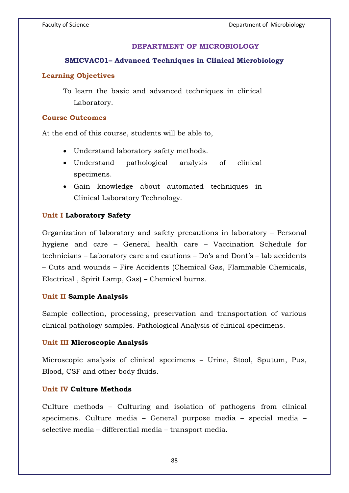## **DEPARTMENT OF MICROBIOLOGY**

### **SMICVAC01– Advanced Techniques in Clinical Microbiology**

### **Learning Objectives**

To learn the basic and advanced techniques in clinical Laboratory.

#### **Course Outcomes**

At the end of this course, students will be able to,

- Understand laboratory safety methods.
- Understand pathological analysis of clinical specimens.
- Gain knowledge about automated techniques in Clinical Laboratory Technology.

### **Unit I Laboratory Safety**

Organization of laboratory and safety precautions in laboratory – Personal hygiene and care – General health care – Vaccination Schedule for technicians – Laboratory care and cautions – Do's and Dont's – lab accidents – Cuts and wounds – Fire Accidents (Chemical Gas, Flammable Chemicals, Electrical , Spirit Lamp, Gas) – Chemical burns.

### **Unit II Sample Analysis**

Sample collection, processing, preservation and transportation of various clinical pathology samples. Pathological Analysis of clinical specimens.

### **Unit III Microscopic Analysis**

Microscopic analysis of clinical specimens – Urine, Stool, Sputum, Pus, Blood, CSF and other body fluids.

### **Unit IV Culture Methods**

Culture methods – Culturing and isolation of pathogens from clinical specimens. Culture media – General purpose media – special media – selective media – differential media – transport media.